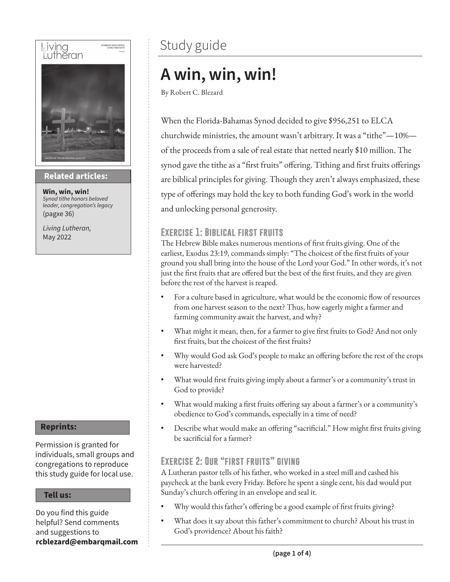

### **Then sings my soul Related articles:**

**Win, win, win!** *Synod tithe honors beloved leader, congregation's legacy* (pagxe 36)

*Living Lutheran,* May 2022

### **Reprints:**

Permission is granted for individuals, small groups and congregations to reproduce this study guide for local use.

#### **Tell us:**

Do you find this guide helpful? Send comments and suggestions to **rcblezard@embarqmail.com**

### Study guide

### **A win, win, win!**

By Robert C. Blezard

When the Florida-Bahamas Synod decided to give \$956,251 to ELCA churchwide ministries, the amount wasn't arbitrary. It was a "tithe"—10% of the proceeds from a sale of real estate that netted nearly \$10 million. The synod gave the tithe as a "first fruits" offering. Tithing and first fruits offerings are biblical principles for giving. Though they aren't always emphasized, these type of offerings may hold the key to both funding God's work in the world and unlocking personal generosity.

### **Exercise 1: Biblical first fruits**

The Hebrew Bible makes numerous mentions of first fruits giving. One of the earliest, Exodus 23:19, commands simply: "The choicest of the first fruits of your ground you shall bring into the house of the Lord your God." In other words, it's not just the first fruits that are offered but the best of the first fruits, and they are given before the rest of the harvest is reaped.

- For a culture based in agriculture, what would be the economic flow of resources from one harvest season to the next? Thus, how eagerly might a farmer and farming community await the harvest, and why?
- What might it mean, then, for a farmer to give first fruits to God? And not only first fruits, but the choicest of the first fruits?
- Why would God ask God's people to make an offering before the rest of the crops were harvested?
- What would first fruits giving imply about a farmer's or a community's trust in God to provide?
- What would making a first fruits offering say about a farmer's or a community's obedience to God's commands, especially in a time of need?
- Describe what would make an offering "sacrificial." How might first fruits giving be sacrificial for a farmer?

### **Exercise 2: Our "first fruits" giving**

A Lutheran pastor tells of his father, who worked in a steel mill and cashed his paycheck at the bank every Friday. Before he spent a single cent, his dad would put Sunday's church offering in an envelope and seal it.

- Why would this father's offering be a good example of first fruits giving?
- What does it say about this father's commitment to church? About his trust in God's providence? About his faith?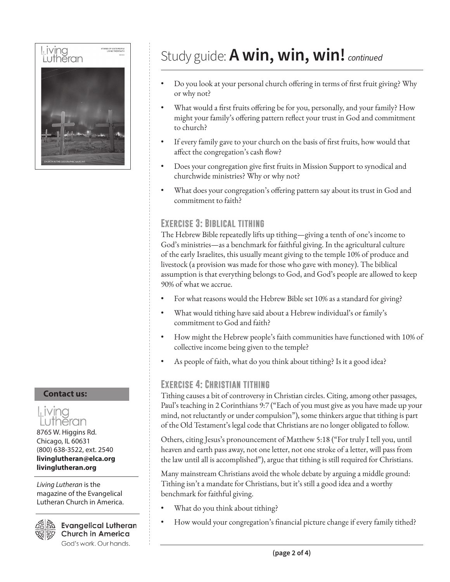

#### **Contact us:**



8765 W. Higgins Rd. Chicago, IL 60631 (800) 638-3522, ext. 2540 **livinglutheran@elca.org livinglutheran.org**

*Living Lutheran* is the magazine of the Evangelical Lutheran Church in America.



**Evangelical Lutheran Church in America** God's work. Our hands.

### Study guide: **A win, win, win!** *continued*

- Do you look at your personal church offering in terms of first fruit giving? Why or why not?
- What would a first fruits offering be for you, personally, and your family? How might your family's offering pattern reflect your trust in God and commitment to church?
- If every family gave to your church on the basis of first fruits, how would that affect the congregation's cash flow?
- Does your congregation give first fruits in Mission Support to synodical and churchwide ministries? Why or why not?
- What does your congregation's offering pattern say about its trust in God and commitment to faith?

### **Exercise 3: Biblical tithing**

The Hebrew Bible repeatedly lifts up tithing—giving a tenth of one's income to God's ministries—as a benchmark for faithful giving. In the agricultural culture of the early Israelites, this usually meant giving to the temple 10% of produce and livestock (a provision was made for those who gave with money). The biblical assumption is that everything belongs to God, and God's people are allowed to keep 90% of what we accrue.

- For what reasons would the Hebrew Bible set 10% as a standard for giving?
- What would tithing have said about a Hebrew individual's or family's commitment to God and faith?
- How might the Hebrew people's faith communities have functioned with 10% of collective income being given to the temple?
- As people of faith, what do you think about tithing? Is it a good idea?

### **Exercise 4: Christian tithing**

Tithing causes a bit of controversy in Christian circles. Citing, among other passages, Paul's teaching in 2 Corinthians 9:7 ("Each of you must give as you have made up your mind, not reluctantly or under compulsion"), some thinkers argue that tithing is part of the Old Testament's legal code that Christians are no longer obligated to follow.

Others, citing Jesus's pronouncement of Matthew 5:18 ("For truly I tell you, until heaven and earth pass away, not one letter, not one stroke of a letter, will pass from the law until all is accomplished"), argue that tithing is still required for Christians.

Many mainstream Christians avoid the whole debate by arguing a middle ground: Tithing isn't a mandate for Christians, but it's still a good idea and a worthy benchmark for faithful giving.

- What do you think about tithing?
- How would your congregation's financial picture change if every family tithed?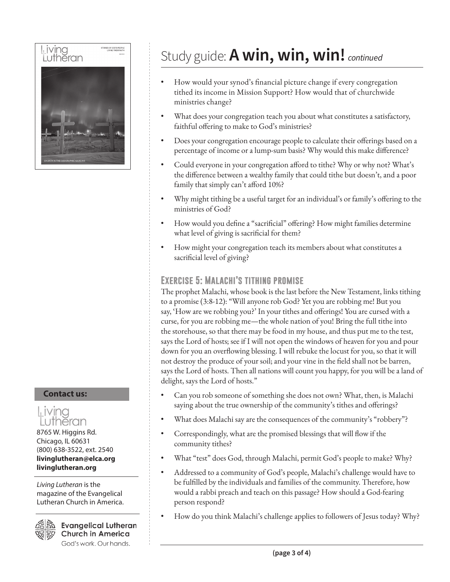

#### **Contact us:**



(800) 638-3522, ext. 2540 **livinglutheran@elca.org livinglutheran.org**

*Living Lutheran* is the magazine of the Evangelical Lutheran Church in America.



**Evangelical Lutheran Church in America** God's work. Our hands.

### Study guide: **A win, win, win!** *continued*

- How would your synod's financial picture change if every congregation tithed its income in Mission Support? How would that of churchwide ministries change?
- What does your congregation teach you about what constitutes a satisfactory, faithful offering to make to God's ministries?
- Does your congregation encourage people to calculate their offerings based on a percentage of income or a lump-sum basis? Why would this make difference?
- Could everyone in your congregation afford to tithe? Why or why not? What's the difference between a wealthy family that could tithe but doesn't, and a poor family that simply can't afford 10%?
- Why might tithing be a useful target for an individual's or family's offering to the ministries of God?
- How would you define a "sacrificial" offering? How might families determine what level of giving is sacrificial for them?
- How might your congregation teach its members about what constitutes a sacrificial level of giving?

### **Exercise 5: Malachi's tithing promise**

The prophet Malachi, whose book is the last before the New Testament, links tithing to a promise (3:8-12): "Will anyone rob God? Yet you are robbing me! But you say, 'How are we robbing you?' In your tithes and offerings! You are cursed with a curse, for you are robbing me—the whole nation of you! Bring the full tithe into the storehouse, so that there may be food in my house, and thus put me to the test, says the Lord of hosts; see if I will not open the windows of heaven for you and pour down for you an overflowing blessing. I will rebuke the locust for you, so that it will not destroy the produce of your soil; and your vine in the field shall not be barren, says the Lord of hosts. Then all nations will count you happy, for you will be a land of delight, says the Lord of hosts."

- Can you rob someone of something she does not own? What, then, is Malachi saying about the true ownership of the community's tithes and offerings?
- What does Malachi say are the consequences of the community's "robbery"?
- Correspondingly, what are the promised blessings that will flow if the community tithes?
- What "test" does God, through Malachi, permit God's people to make? Why?
- Addressed to a community of God's people, Malachi's challenge would have to be fulfilled by the individuals and families of the community. Therefore, how would a rabbi preach and teach on this passage? How should a God-fearing person respond?
- How do you think Malachi's challenge applies to followers of Jesus today? Why?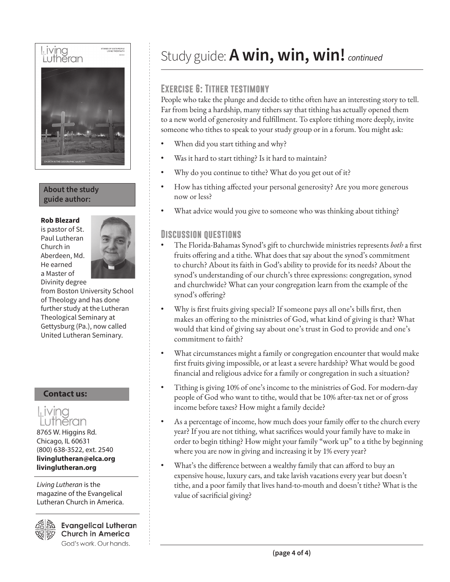# Living STORIES OF GOD'S PEOPLE Luthĕran

### **About the study guide author:**

#### **Rob Blezard**

is pastor of St. Paul Lutheran Church in Aberdeen, Md. He earned a Master of Divinity degree



from Boston University School of Theology and has done further study at the Lutheran Theological Seminary at Gettysburg (Pa.), now called United Lutheran Seminary.

### **Contact us:**



Chicago, IL 60631 (800) 638-3522, ext. 2540 **livinglutheran@elca.org livinglutheran.org**

*Living Lutheran* is the magazine of the Evangelical Lutheran Church in America.



**Evangelical Lutheran Church in America** God's work. Our hands.

### Study guide: **A win, win, win!** *continued*

### **Exercise 6: Tither testimony**

People who take the plunge and decide to tithe often have an interesting story to tell. Far from being a hardship, many tithers say that tithing has actually opened them to a new world of generosity and fulfillment. To explore tithing more deeply, invite someone who tithes to speak to your study group or in a forum. You might ask:

- When did you start tithing and why?
- Was it hard to start tithing? Is it hard to maintain?
- Why do you continue to tithe? What do you get out of it?
- How has tithing affected your personal generosity? Are you more generous now or less?
- What advice would you give to someone who was thinking about tithing?

### **Discussion questions**

- The Florida-Bahamas Synod's gift to churchwide ministries represents *both* a first fruits offering and a tithe. What does that say about the synod's commitment to church? About its faith in God's ability to provide for its needs? About the synod's understanding of our church's three expressions: congregation, synod and churchwide? What can your congregation learn from the example of the synod's offering?
- Why is first fruits giving special? If someone pays all one's bills first, then makes an offering to the ministries of God, what kind of giving is that? What would that kind of giving say about one's trust in God to provide and one's commitment to faith?
- What circumstances might a family or congregation encounter that would make first fruits giving impossible, or at least a severe hardship? What would be good financial and religious advice for a family or congregation in such a situation?
- Tithing is giving 10% of one's income to the ministries of God. For modern-day people of God who want to tithe, would that be 10% after-tax net or of gross income before taxes? How might a family decide?
- As a percentage of income, how much does your family offer to the church every year? If you are not tithing, what sacrifices would your family have to make in order to begin tithing? How might your family "work up" to a tithe by beginning where you are now in giving and increasing it by 1% every year?
- What's the difference between a wealthy family that can afford to buy an expensive house, luxury cars, and take lavish vacations every year but doesn't tithe, and a poor family that lives hand-to-mouth and doesn't tithe? What is the value of sacrificial giving?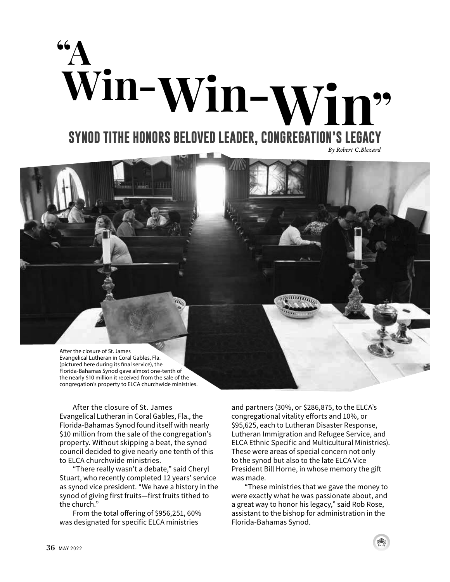



After the closure of St. James Evangelical Lutheran in Coral Gables, Fla., the Florida-Bahamas Synod found itself with nearly \$10 million from the sale of the congregation's property. Without skipping a beat, the synod council decided to give nearly one tenth of this to ELCA churchwide ministries.

"There really wasn't a debate," said Cheryl Stuart, who recently completed 12 years' service as synod vice president. "We have a history in the synod of giving first fruits—first fruits tithed to the church."

From the total offering of \$956,251, 60% was designated for specific ELCA ministries

and partners (30%, or \$286,875, to the ELCA's congregational vitality efforts and 10%, or \$95,625, each to Lutheran Disaster Response, Lutheran Immigration and Refugee Service, and ELCA Ethnic Specific and Multicultural Ministries). These were areas of special concern not only to the synod but also to the late ELCA Vice President Bill Horne, in whose memory the gift was made.

"These ministries that we gave the money to were exactly what he was passionate about, and a great way to honor his legacy," said Rob Rose, assistant to the bishop for administration in the Florida-Bahamas Synod.